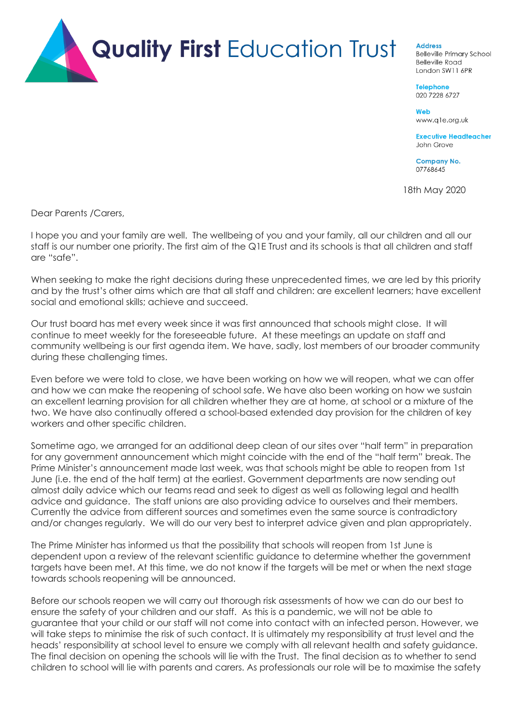

## **Address**

**Belleville Primary School Belleville Road** London SW11 6PR

**Telephone** 020 7228 6727

Web www.qle.org.uk

**Executive Headteacher** John Grove

**Company No.** 07768645

18th May 2020

Dear Parents /Carers,

I hope you and your family are well. The wellbeing of you and your family, all our children and all our staff is our number one priority. The first aim of the Q1E Trust and its schools is that all children and staff are "safe".

When seeking to make the right decisions during these unprecedented times, we are led by this priority and by the trust's other aims which are that all staff and children: are excellent learners; have excellent social and emotional skills; achieve and succeed.

Our trust board has met every week since it was first announced that schools might close. It will continue to meet weekly for the foreseeable future. At these meetings an update on staff and community wellbeing is our first agenda item. We have, sadly, lost members of our broader community during these challenging times.

Even before we were told to close, we have been working on how we will reopen, what we can offer and how we can make the reopening of school safe. We have also been working on how we sustain an excellent learning provision for all children whether they are at home, at school or a mixture of the two. We have also continually offered a school-based extended day provision for the children of key workers and other specific children.

Sometime ago, we arranged for an additional deep clean of our sites over "half term" in preparation for any government announcement which might coincide with the end of the "half term" break. The Prime Minister's announcement made last week, was that schools might be able to reopen from 1st June (i.e. the end of the half term) at the earliest. Government departments are now sending out almost daily advice which our teams read and seek to digest as well as following legal and health advice and guidance. The staff unions are also providing advice to ourselves and their members. Currently the advice from different sources and sometimes even the same source is contradictory and/or changes regularly. We will do our very best to interpret advice given and plan appropriately.

The Prime Minister has informed us that the possibility that schools will reopen from 1st June is dependent upon a review of the relevant scientific guidance to determine whether the government targets have been met. At this time, we do not know if the targets will be met or when the next stage towards schools reopening will be announced.

Before our schools reopen we will carry out thorough risk assessments of how we can do our best to ensure the safety of your children and our staff. As this is a pandemic, we will not be able to guarantee that your child or our staff will not come into contact with an infected person. However, we will take steps to minimise the risk of such contact. It is ultimately my responsibility at trust level and the heads' responsibility at school level to ensure we comply with all relevant health and safety guidance. The final decision on opening the schools will lie with the Trust. The final decision as to whether to send children to school will lie with parents and carers. As professionals our role will be to maximise the safety